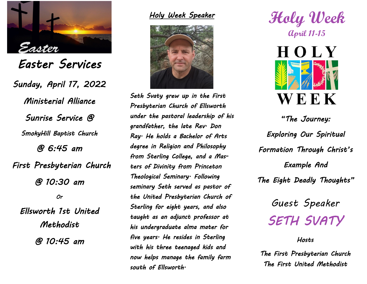

*Easter Services Sunday, April 17, 2022 Ministerial Alliance Sunrise Service @ SmokyHill Baptist Church @ 6:45 am First Presbyterian Church @ 10:30 am Or Ellsworth 1st United Methodist @ 10:45 am* 

*Holy Week Speaker* 



*Seth Svaty grew up in the First Presbyterian Church of Ellsworth under the pastoral leadership of his grandfather, the late Rev. Don Ray. He holds a Bachelor of Arts degree in Religion and Philosophy from Sterling College, and a Masters of Divinity from Princeton Theological Seminary. Following seminary Seth served as pastor of the United Presbyterian Church of Sterling for eight years, and also taught as an adjunct professor at his undergraduate alma mater for five years. He resides in Sterling with his three teenaged kids and now helps manage the family farm south of Ellsworth.* 

**Holy Week April 11-15**



*"The Journey: Exploring Our Spiritual Formation Through Christ's Example And The Eight Deadly Thoughts"* 

> *Guest Speaker SETH SVATY*

> > *Hosts*

*The First Presbyterian Church The First United Methodist*